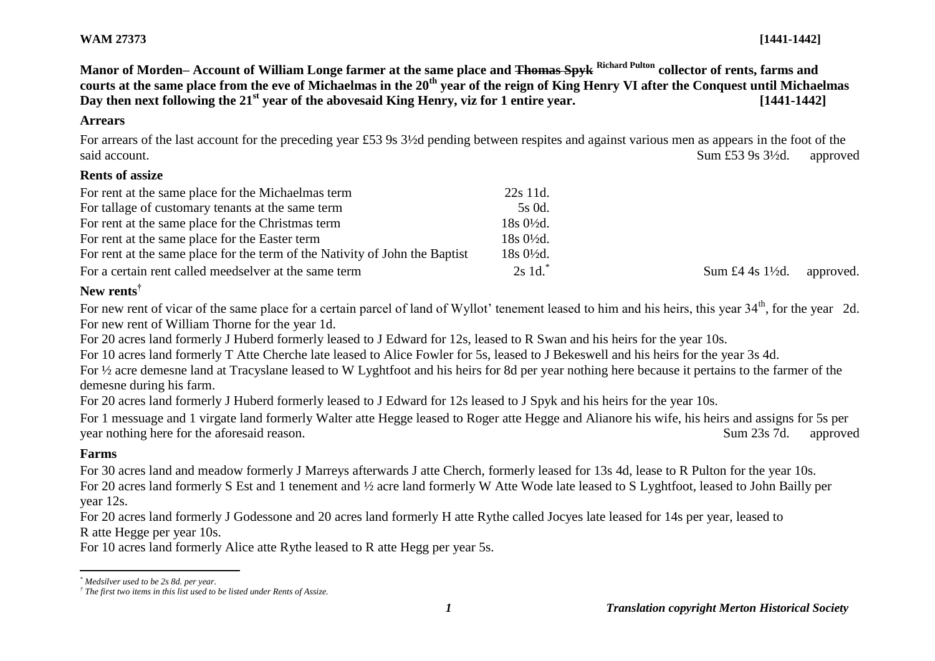**Manor of Morden– Account of William Longe farmer at the same place and Thomas Spyk Richard Pulton collector of rents, farms and courts at the same place from the eve of Michaelmas in the 20th year of the reign of King Henry VI after the Conquest until Michaelmas**  Day then next following the 21<sup>st</sup> vear of the abovesaid King Henry, viz for 1 entire year. [1441-1442]

## **Arrears**

For arrears of the last account for the preceding year £53 9s 3½d pending between respites and against various men as appears in the foot of the said account. Sum £53 9s 3½d. approved

### **Rents of assize**

| For rent at the same place for the Michaelmas term                          | 22s 11d.             |                             |           |
|-----------------------------------------------------------------------------|----------------------|-----------------------------|-----------|
| For tallage of customary tenants at the same term                           | 5s 0d.               |                             |           |
| For rent at the same place for the Christmas term                           | $18s0\frac{1}{2}d$ . |                             |           |
| For rent at the same place for the Easter term                              | $18s0\frac{1}{2}d$ . |                             |           |
| For rent at the same place for the term of the Nativity of John the Baptist | 18s 0½d.             |                             |           |
| For a certain rent called meedselver at the same term                       | $2s$ 1d.             | Sum £4 4s $1\frac{1}{2}$ d. | approved. |

# **New rents†**

For new rent of vicar of the same place for a certain parcel of land of Wyllot' tenement leased to him and his heirs, this year 34<sup>th</sup>, for the year 2d. For new rent of William Thorne for the year 1d.

For 20 acres land formerly J Huberd formerly leased to J Edward for 12s, leased to R Swan and his heirs for the year 10s.

For 10 acres land formerly T Atte Cherche late leased to Alice Fowler for 5s, leased to J Bekeswell and his heirs for the year 3s 4d.

For ½ acre demesne land at Tracyslane leased to W Lyghtfoot and his heirs for 8d per year nothing here because it pertains to the farmer of the demesne during his farm.

For 20 acres land formerly J Huberd formerly leased to J Edward for 12s leased to J Spyk and his heirs for the year 10s.

For 1 messuage and 1 virgate land formerly Walter atte Hegge leased to Roger atte Hegge and Alianore his wife, his heirs and assigns for 5s per year nothing here for the aforesaid reason. Sum 23s 7d. approved

# **Farms**

For 30 acres land and meadow formerly J Marreys afterwards J atte Cherch, formerly leased for 13s 4d, lease to R Pulton for the year 10s. For 20 acres land formerly S Est and 1 tenement and ½ acre land formerly W Atte Wode late leased to S Lyghtfoot, leased to John Bailly per year 12s.

For 20 acres land formerly J Godessone and 20 acres land formerly H atte Rythe called Jocyes late leased for 14s per year, leased to

R atte Hegge per year 10s.

For 10 acres land formerly Alice atte Rythe leased to R atte Hegg per year 5s.

 $\overline{a}$ *\* Medsilver used to be 2s 8d. per year.*

*<sup>†</sup> The first two items in this list used to be listed under Rents of Assize.*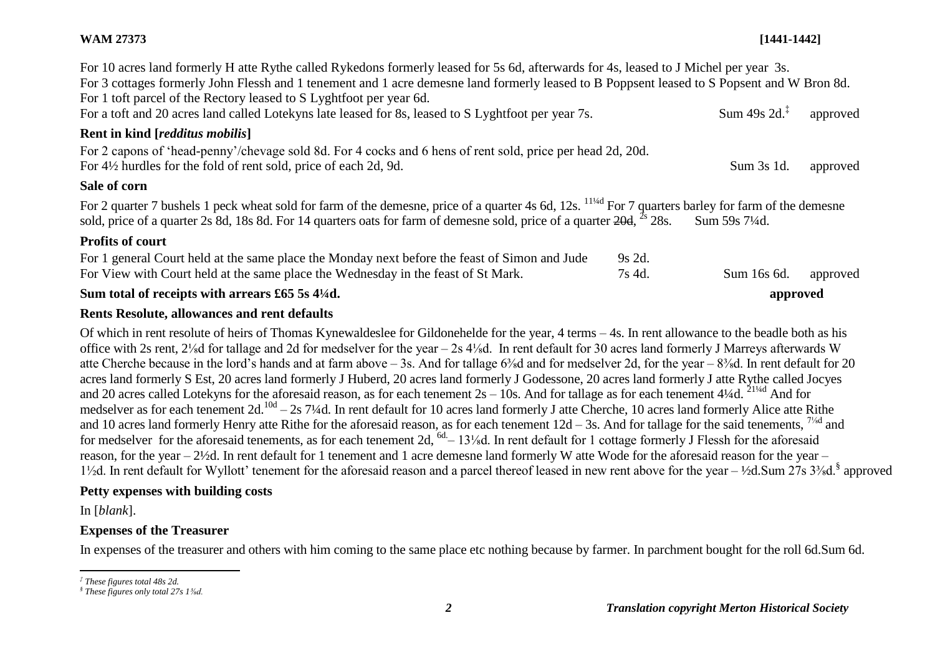## **WAM 27373 [1441-1442]**

| For 10 acres land formerly H atte Rythe called Rykedons formerly leased for 5s 6d, afterwards for 4s, leased to J Michel per year 3s.<br>For 3 cottages formerly John Flessh and 1 tenement and 1 acre demesne land formerly leased to B Poppsent leased to S Popsent and W Bron 8d.<br>For 1 toft parcel of the Rectory leased to S Lyghtfoot per year 6d.<br>For a toft and 20 acres land called Lotekyns late leased for 8s, leased to S Lyghtfoot per year 7s. | Sum 49s $2d^{\ddagger}$ | approved |
|--------------------------------------------------------------------------------------------------------------------------------------------------------------------------------------------------------------------------------------------------------------------------------------------------------------------------------------------------------------------------------------------------------------------------------------------------------------------|-------------------------|----------|
| <b>Rent in kind [redditus mobilis]</b>                                                                                                                                                                                                                                                                                                                                                                                                                             |                         |          |
| For 2 capons of 'head-penny'/chevage sold 8d. For 4 cocks and 6 hens of rent sold, price per head 2d, 20d.<br>For 4½ hurdles for the fold of rent sold, price of each 2d, 9d.                                                                                                                                                                                                                                                                                      | Sum 3s 1d.              | approved |
| Sale of corn                                                                                                                                                                                                                                                                                                                                                                                                                                                       |                         |          |
| For 2 quarter 7 bushels 1 peck wheat sold for farm of the demesne, price of a quarter 4s 6d, 12s. <sup>114d</sup> For 7 quarters barley for farm of the demesne<br>sold, price of a quarter 2s 8d, 18s 8d. For 14 quarters oats for farm of demesne sold, price of a quarter 20d, <sup>2s</sup> 28s.                                                                                                                                                               | Sum 59s 7¼d.            |          |
| <b>Profits of court</b>                                                                                                                                                                                                                                                                                                                                                                                                                                            |                         |          |
| For 1 general Court held at the same place the Monday next before the feast of Simon and Jude<br>9s 2d.                                                                                                                                                                                                                                                                                                                                                            |                         |          |
| For View with Court held at the same place the Wednesday in the feast of St Mark.<br>7s 4d.                                                                                                                                                                                                                                                                                                                                                                        | Sum 16s 6d.             | approved |
| Sum total of receipts with arrears $£65$ 5s $4\frac{1}{4}$ d.                                                                                                                                                                                                                                                                                                                                                                                                      | approved                |          |

### **Rents Resolute, allowances and rent defaults**

Of which in rent resolute of heirs of Thomas Kynewaldeslee for Gildonehelde for the year, 4 terms – 4s. In rent allowance to the beadle both as his office with 2s rent, 2⅛d for tallage and 2d for medselver for the year – 2s 4⅛d. In rent default for 30 acres land formerly J Marreys afterwards W atte Cherche because in the lord's hands and at farm above – 3s. And for tallage 6⅜d and for medselver 2d, for the year – 8⅜d. In rent default for 20 acres land formerly S Est, 20 acres land formerly J Huberd, 20 acres land formerly J Godessone, 20 acres land formerly J atte Rythe called Jocyes and 20 acres called Lotekyns for the aforesaid reason, as for each tenement  $2s - 10s$ . And for tallage as for each tenement 4¼d. <sup>21¼d</sup> And for medselver as for each tenement 2d.<sup>10d</sup> – 2s 7¼d. In rent default for 10 acres land formerly J atte Cherche, 10 acres land formerly Alice atte Rithe and 10 acres land formerly Henry atte Rithe for the aforesaid reason, as for each tenement  $12d - 3s$ . And for tallage for the said tenements,  $^{7/2}$  and for medselver for the aforesaid tenements, as for each tenement  $2d_1$ <sup>6d.</sup> –  $13\frac{1}{8}$ d. In rent default for 1 cottage formerly J Flessh for the aforesaid reason, for the year – 2½d. In rent default for 1 tenement and 1 acre demesne land formerly W atte Wode for the aforesaid reason for the year – 1<sup>1</sup>/<sub>2</sub>d. In rent default for Wyllott' tenement for the aforesaid reason and a parcel thereof leased in new rent above for the year – <sup>1</sup>/2d. Sum 27s 3<sup>3</sup>/<sub>8</sub>d. <sup>§</sup> approved

# **Petty expenses with building costs**

In [*blank*].

# **Expenses of the Treasurer**

In expenses of the treasurer and others with him coming to the same place etc nothing because by farmer. In parchment bought for the roll 6d.Sum 6d.

 $\overline{a}$ *‡ These figures total 48s 2d.*

*<sup>§</sup> These figures only total 27s 1⅜d.*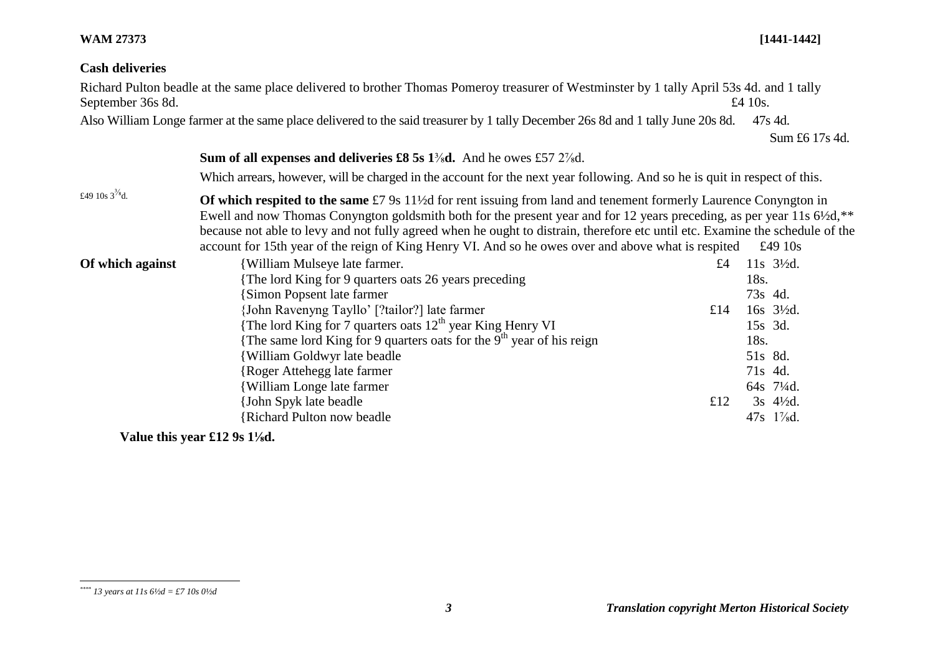## **WAM 27373 [1441-1442]**

# **Cash deliveries**

| September 36s 8d.    | Richard Pulton beadle at the same place delivered to brother Thomas Pomeroy treasurer of Westminster by 1 tally April 53s 4d. and 1 tally                                                                                                                                                                                                                                                                                                                                                                     |     | £4 10 $s$ .                           |  |  |  |
|----------------------|---------------------------------------------------------------------------------------------------------------------------------------------------------------------------------------------------------------------------------------------------------------------------------------------------------------------------------------------------------------------------------------------------------------------------------------------------------------------------------------------------------------|-----|---------------------------------------|--|--|--|
|                      | Also William Longe farmer at the same place delivered to the said treasurer by 1 tally December 26s 8d and 1 tally June 20s 8d.                                                                                                                                                                                                                                                                                                                                                                               |     | 47s 4d.                               |  |  |  |
|                      |                                                                                                                                                                                                                                                                                                                                                                                                                                                                                                               |     | Sum £6 17s 4d.                        |  |  |  |
|                      | <b>Sum of all expenses and deliveries £8 5s 1 % d.</b> And he owes £57 2 % d.                                                                                                                                                                                                                                                                                                                                                                                                                                 |     |                                       |  |  |  |
|                      | Which arrears, however, will be charged in the account for the next year following. And so he is quit in respect of this.                                                                                                                                                                                                                                                                                                                                                                                     |     |                                       |  |  |  |
| £49 10s $3^{3/8}$ d. | Of which respited to the same £7 9s 11 <sup>1</sup> /2d for rent issuing from land and tenement formerly Laurence Conyngton in<br>Ewell and now Thomas Conyngton goldsmith both for the present year and for 12 years preceding, as per year 11s 6½d, **<br>because not able to levy and not fully agreed when he ought to distrain, therefore etc until etc. Examine the schedule of the<br>account for 15th year of the reign of King Henry VI. And so he owes over and above what is respited<br>£49 $10s$ |     |                                       |  |  |  |
| Of which against     | William Mulseye late farmer.                                                                                                                                                                                                                                                                                                                                                                                                                                                                                  | £4  | $11s$ $3\frac{1}{2}d$ .               |  |  |  |
|                      | The lord King for 9 quarters oats 26 years preceding                                                                                                                                                                                                                                                                                                                                                                                                                                                          |     | 18s.                                  |  |  |  |
|                      | <b>Simon Popsent late farmer</b>                                                                                                                                                                                                                                                                                                                                                                                                                                                                              |     | 73s 4d.                               |  |  |  |
|                      | {John Ravenyng Tayllo' [?tailor?] late farmer                                                                                                                                                                                                                                                                                                                                                                                                                                                                 | £14 | $16s$ $3\frac{1}{2}d$ .               |  |  |  |
|                      | The lord King for 7 quarters oats $12^{th}$ year King Henry VI                                                                                                                                                                                                                                                                                                                                                                                                                                                |     | 15s 3d.                               |  |  |  |
|                      | The same lord King for 9 quarters oats for the 9 <sup>th</sup> year of his reign                                                                                                                                                                                                                                                                                                                                                                                                                              |     | 18s.                                  |  |  |  |
|                      | William Goldwyr late beadle                                                                                                                                                                                                                                                                                                                                                                                                                                                                                   |     | 51s 8d.                               |  |  |  |
|                      | Roger Attehegg late farmer                                                                                                                                                                                                                                                                                                                                                                                                                                                                                    |     | 71s 4d.                               |  |  |  |
|                      | <b>William Longe late farmer</b>                                                                                                                                                                                                                                                                                                                                                                                                                                                                              |     | 64s 71/4d.                            |  |  |  |
|                      | John Spyk late beadle                                                                                                                                                                                                                                                                                                                                                                                                                                                                                         | £12 | $3s$ 4 <sup>1</sup> / <sub>2</sub> d. |  |  |  |
|                      | <b>Richard Pulton now beadle</b>                                                                                                                                                                                                                                                                                                                                                                                                                                                                              |     | $47s$ 1\%d.                           |  |  |  |

**Value this year £12 9s 1⅛d.**

l *\*\*\*\* 13 years at 11s 6½d = £7 10s 0½d*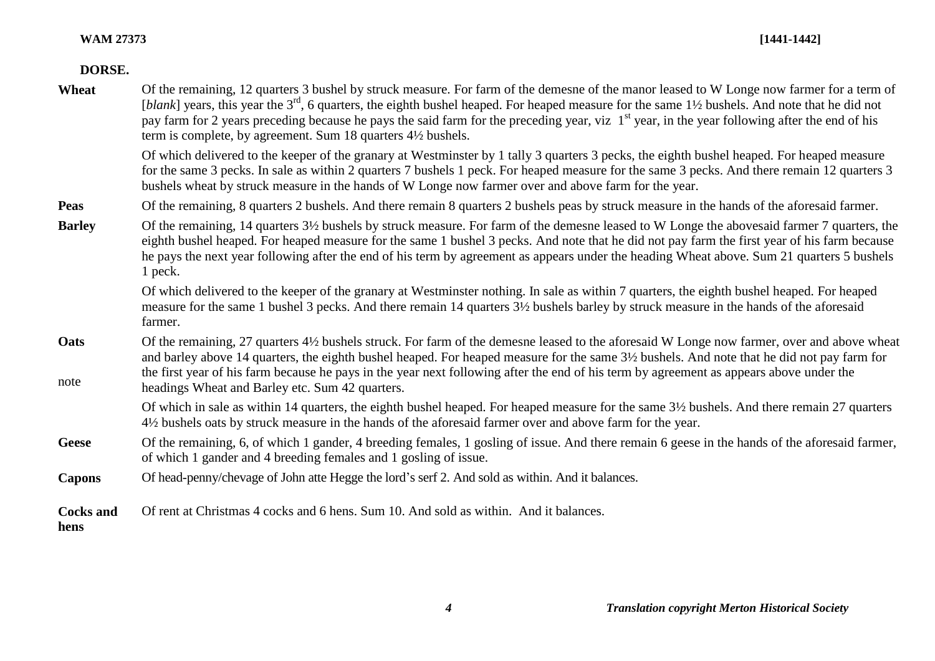# **DORSE.**

| Wheat                    | Of the remaining, 12 quarters 3 bushel by struck measure. For farm of the demesne of the manor leased to W Longe now farmer for a term of<br>[blank] years, this year the $3rd$ , 6 quarters, the eighth bushel heaped. For heaped measure for the same 1½ bushels. And note that he did not<br>pay farm for 2 years preceding because he pays the said farm for the preceding year, viz $1st$ year, in the year following after the end of his<br>term is complete, by agreement. Sum 18 quarters 4½ bushels. |
|--------------------------|----------------------------------------------------------------------------------------------------------------------------------------------------------------------------------------------------------------------------------------------------------------------------------------------------------------------------------------------------------------------------------------------------------------------------------------------------------------------------------------------------------------|
|                          | Of which delivered to the keeper of the granary at Westminster by 1 tally 3 quarters 3 pecks, the eighth bushel heaped. For heaped measure<br>for the same 3 pecks. In sale as within 2 quarters 7 bushels 1 peck. For heaped measure for the same 3 pecks. And there remain 12 quarters 3<br>bushels wheat by struck measure in the hands of W Longe now farmer over and above farm for the year.                                                                                                             |
| <b>Peas</b>              | Of the remaining, 8 quarters 2 bushels. And there remain 8 quarters 2 bushels peas by struck measure in the hands of the aforesaid farmer.                                                                                                                                                                                                                                                                                                                                                                     |
| <b>Barley</b>            | Of the remaining, 14 quarters 3½ bushels by struck measure. For farm of the demesne leased to W Longe the abovesaid farmer 7 quarters, the<br>eighth bushel heaped. For heaped measure for the same 1 bushel 3 pecks. And note that he did not pay farm the first year of his farm because<br>he pays the next year following after the end of his term by agreement as appears under the heading Wheat above. Sum 21 quarters 5 bushels<br>1 peck.                                                            |
|                          | Of which delivered to the keeper of the granary at Westminster nothing. In sale as within 7 quarters, the eighth bushel heaped. For heaped<br>measure for the same 1 bushel 3 pecks. And there remain 14 quarters 3½ bushels barley by struck measure in the hands of the aforesaid<br>farmer.                                                                                                                                                                                                                 |
| Oats<br>note             | Of the remaining, 27 quarters 4½ bushels struck. For farm of the demesne leased to the aforesaid W Longe now farmer, over and above wheat<br>and barley above 14 quarters, the eighth bushel heaped. For heaped measure for the same 3½ bushels. And note that he did not pay farm for<br>the first year of his farm because he pays in the year next following after the end of his term by agreement as appears above under the                                                                              |
|                          | headings Wheat and Barley etc. Sum 42 quarters.                                                                                                                                                                                                                                                                                                                                                                                                                                                                |
|                          | Of which in sale as within 14 quarters, the eighth bushel heaped. For heaped measure for the same 3½ bushels. And there remain 27 quarters<br>4½ bushels oats by struck measure in the hands of the aforesaid farmer over and above farm for the year.                                                                                                                                                                                                                                                         |
| <b>Geese</b>             | Of the remaining, 6, of which 1 gander, 4 breeding females, 1 gosling of issue. And there remain 6 geese in the hands of the aforesaid farmer,<br>of which 1 gander and 4 breeding females and 1 gosling of issue.                                                                                                                                                                                                                                                                                             |
| <b>Capons</b>            | Of head-penny/chevage of John atte Hegge the lord's serf 2. And sold as within. And it balances.                                                                                                                                                                                                                                                                                                                                                                                                               |
| <b>Cocks and</b><br>hens | Of rent at Christmas 4 cocks and 6 hens. Sum 10. And sold as within. And it balances.                                                                                                                                                                                                                                                                                                                                                                                                                          |